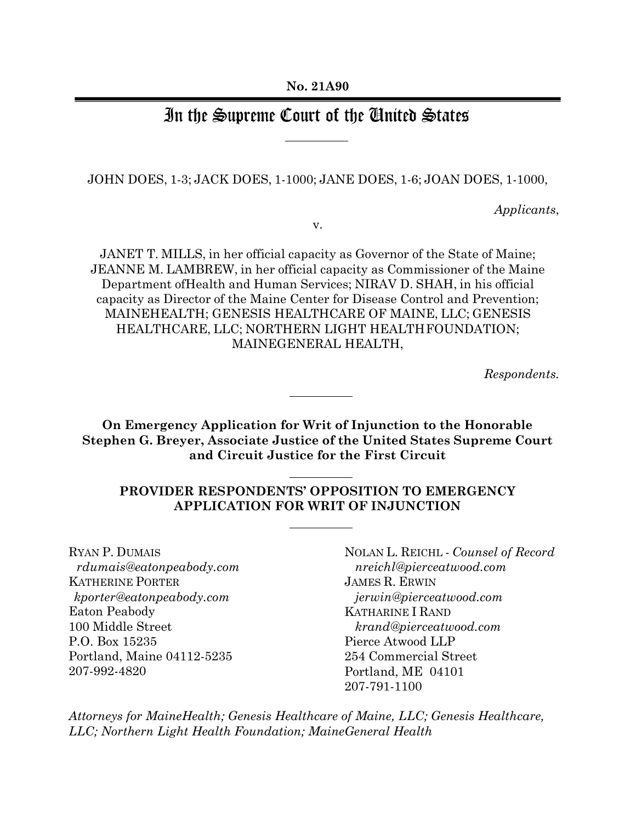# In the Supreme Court of the Chuited States

JOHN DOES, 1-3; JACK DOES, 1-1000; JANE DOES, 1-6; JOAN DOES, 1-1000,

*Applicants*,

v.

JANET T. MILLS, in her official capacity as Governor of the State of Maine; JEANNE M. LAMBREW, in her official capacity as Commissioner of the Maine Department ofHealth and Human Services; NIRAV D. SHAH, in his official capacity as Director of the Maine Center for Disease Control and Prevention; MAINEHEALTH; GENESIS HEALTHCARE OF MAINE, LLC; GENESIS HEALTHCARE, LLC; NORTHERN LIGHT HEALTHFOUNDATION; MAINEGENERAL HEALTH,

*Respondents.*

**On Emergency Application for Writ of Injunction to the Honorable Stephen G. Breyer, Associate Justice of the United States Supreme Court and Circuit Justice for the First Circuit**

# **PROVIDER RESPONDENTS' OPPOSITION TO EMERGENCY APPLICATION FOR WRIT OF INJUNCTION**

RYAN P. DUMAIS *rdumais@eatonpeabody.com* KATHERINE PORTER *kporter@eatonpeabody.com* Eaton Peabody 100 Middle Street P.O. Box 15235 Portland, Maine 04112-5235 207-992-4820

NOLAN L. REICHL - *Counsel of Record nreichl@pierceatwood.com* JAMES R. ERWIN  *jerwin@pierceatwood.com* KATHARINE I RAND  *krand@pierceatwood.com* Pierce Atwood LLP 254 Commercial Street Portland, ME 04101 207-791-1100

*Attorneys for MaineHealth; Genesis Healthcare of Maine, LLC; Genesis Healthcare, LLC; Northern Light Health Foundation; MaineGeneral Health*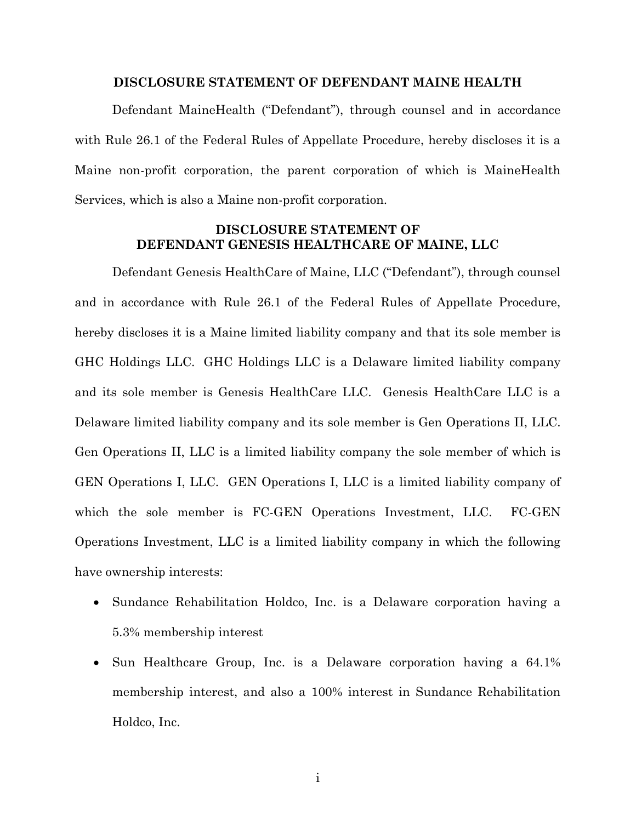### **DISCLOSURE STATEMENT OF DEFENDANT MAINE HEALTH**

<span id="page-1-0"></span>Defendant MaineHealth ("Defendant"), through counsel and in accordance with Rule 26.1 of the Federal Rules of Appellate Procedure, hereby discloses it is a Maine non-profit corporation, the parent corporation of which is MaineHealth Services, which is also a Maine non-profit corporation.

## **DISCLOSURE STATEMENT OF DEFENDANT GENESIS HEALTHCARE OF MAINE, LLC**

<span id="page-1-1"></span>Defendant Genesis HealthCare of Maine, LLC ("Defendant"), through counsel and in accordance with Rule 26.1 of the Federal Rules of Appellate Procedure, hereby discloses it is a Maine limited liability company and that its sole member is GHC Holdings LLC. GHC Holdings LLC is a Delaware limited liability company and its sole member is Genesis HealthCare LLC. Genesis HealthCare LLC is a Delaware limited liability company and its sole member is Gen Operations II, LLC. Gen Operations II, LLC is a limited liability company the sole member of which is GEN Operations I, LLC. GEN Operations I, LLC is a limited liability company of which the sole member is FC-GEN Operations Investment, LLC. FC-GEN Operations Investment, LLC is a limited liability company in which the following have ownership interests:

- Sundance Rehabilitation Holdco, Inc. is a Delaware corporation having a 5.3% membership interest
- Sun Healthcare Group, Inc. is a Delaware corporation having a 64.1% membership interest, and also a 100% interest in Sundance Rehabilitation Holdco, Inc.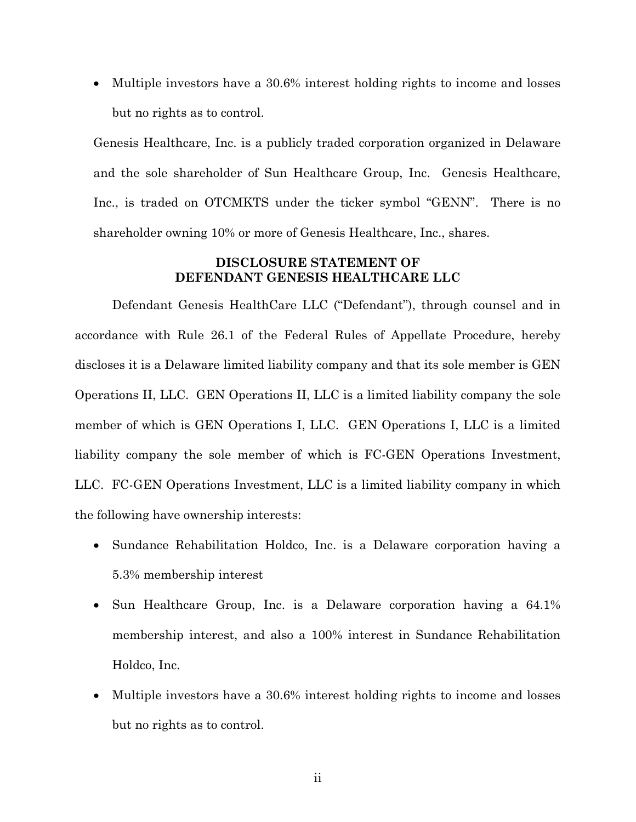Multiple investors have a 30.6% interest holding rights to income and losses but no rights as to control.

Genesis Healthcare, Inc. is a publicly traded corporation organized in Delaware and the sole shareholder of Sun Healthcare Group, Inc. Genesis Healthcare, Inc., is traded on OTCMKTS under the ticker symbol "GENN". There is no shareholder owning 10% or more of Genesis Healthcare, Inc., shares.

### **DISCLOSURE STATEMENT OF DEFENDANT GENESIS HEALTHCARE LLC**

<span id="page-2-0"></span>Defendant Genesis HealthCare LLC ("Defendant"), through counsel and in accordance with Rule 26.1 of the Federal Rules of Appellate Procedure, hereby discloses it is a Delaware limited liability company and that its sole member is GEN Operations II, LLC. GEN Operations II, LLC is a limited liability company the sole member of which is GEN Operations I, LLC. GEN Operations I, LLC is a limited liability company the sole member of which is FC-GEN Operations Investment, LLC. FC-GEN Operations Investment, LLC is a limited liability company in which the following have ownership interests:

- Sundance Rehabilitation Holdco, Inc. is a Delaware corporation having a 5.3% membership interest
- Sun Healthcare Group, Inc. is a Delaware corporation having a 64.1% membership interest, and also a 100% interest in Sundance Rehabilitation Holdco, Inc.
- Multiple investors have a 30.6% interest holding rights to income and losses but no rights as to control.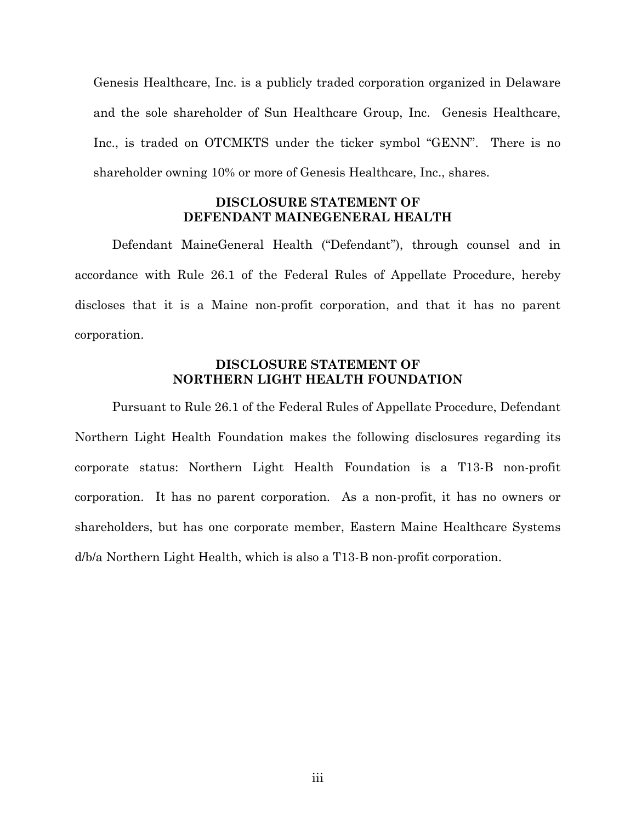Genesis Healthcare, Inc. is a publicly traded corporation organized in Delaware and the sole shareholder of Sun Healthcare Group, Inc. Genesis Healthcare, Inc., is traded on OTCMKTS under the ticker symbol "GENN". There is no shareholder owning 10% or more of Genesis Healthcare, Inc., shares.

## **DISCLOSURE STATEMENT OF DEFENDANT MAINEGENERAL HEALTH**

<span id="page-3-0"></span>Defendant MaineGeneral Health ("Defendant"), through counsel and in accordance with Rule 26.1 of the Federal Rules of Appellate Procedure, hereby discloses that it is a Maine non-profit corporation, and that it has no parent corporation.

### **DISCLOSURE STATEMENT OF NORTHERN LIGHT HEALTH FOUNDATION**

<span id="page-3-1"></span>Pursuant to Rule 26.1 of the Federal Rules of Appellate Procedure, Defendant Northern Light Health Foundation makes the following disclosures regarding its corporate status: Northern Light Health Foundation is a T13-B non-profit corporation. It has no parent corporation. As a non-profit, it has no owners or shareholders, but has one corporate member, Eastern Maine Healthcare Systems d/b/a Northern Light Health, which is also a T13-B non-profit corporation.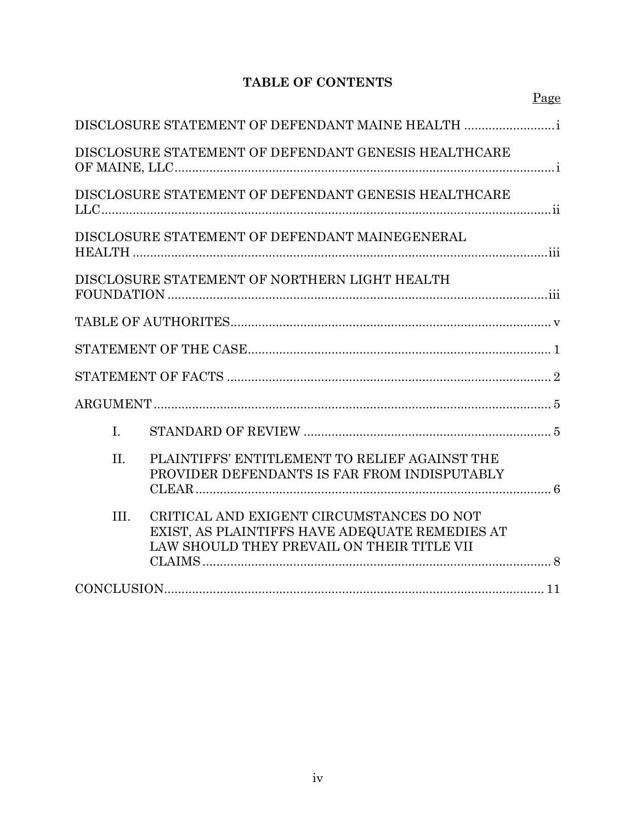# **TABLE OF CONTENTS**

|      | DISCLOSURE STATEMENT OF DEFENDANT MAINE HEALTH                                                                                            |  |
|------|-------------------------------------------------------------------------------------------------------------------------------------------|--|
|      | DISCLOSURE STATEMENT OF DEFENDANT GENESIS HEALTHCARE                                                                                      |  |
|      | DISCLOSURE STATEMENT OF DEFENDANT GENESIS HEALTHCARE                                                                                      |  |
|      | DISCLOSURE STATEMENT OF DEFENDANT MAINEGENERAL                                                                                            |  |
|      | DISCLOSURE STATEMENT OF NORTHERN LIGHT HEALTH                                                                                             |  |
|      |                                                                                                                                           |  |
|      |                                                                                                                                           |  |
|      |                                                                                                                                           |  |
|      |                                                                                                                                           |  |
| L.   |                                                                                                                                           |  |
| II.  | PLAINTIFFS' ENTITLEMENT TO RELIEF AGAINST THE<br>PROVIDER DEFENDANTS IS FAR FROM INDISPUTABLY                                             |  |
| III. | CRITICAL AND EXIGENT CIRCUMSTANCES DO NOT<br>EXIST, AS PLAINTIFFS HAVE ADEQUATE REMEDIES AT<br>LAW SHOULD THEY PREVAIL ON THEIR TITLE VII |  |
|      |                                                                                                                                           |  |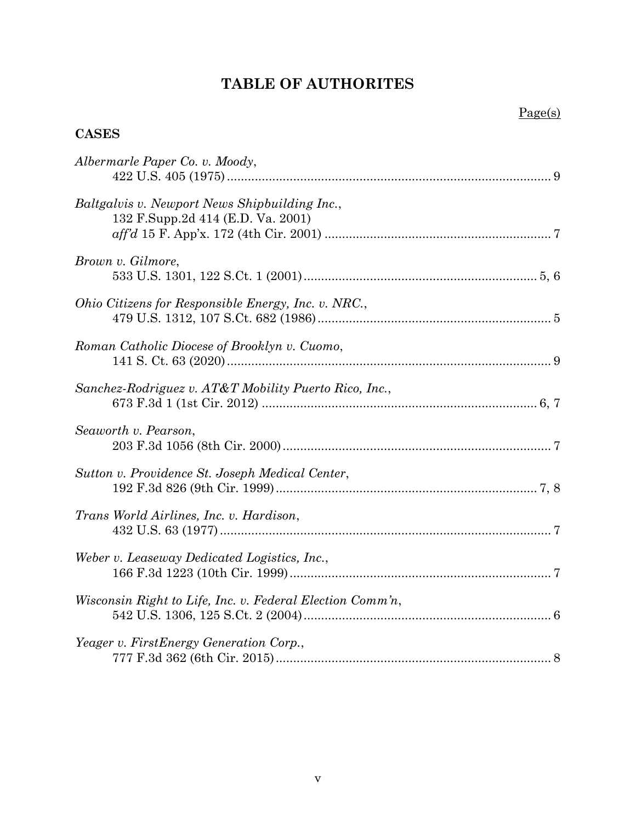# **TABLE OF AUTHORITES**

# <span id="page-5-0"></span>**CASES**

| Albermarle Paper Co. v. Moody,                                                     |
|------------------------------------------------------------------------------------|
| Baltgalvis v. Newport News Shipbuilding Inc.,<br>132 F.Supp.2d 414 (E.D. Va. 2001) |
| Brown v. Gilmore,                                                                  |
| Ohio Citizens for Responsible Energy, Inc. v. NRC.,                                |
| Roman Catholic Diocese of Brooklyn v. Cuomo,                                       |
| Sanchez-Rodriguez v. AT&T Mobility Puerto Rico, Inc.,                              |
| Seaworth v. Pearson,                                                               |
| Sutton v. Providence St. Joseph Medical Center,                                    |
| Trans World Airlines, Inc. v. Hardison,                                            |
| Weber v. Leaseway Dedicated Logistics, Inc.,                                       |
| Wisconsin Right to Life, Inc. v. Federal Election Comm'n,                          |
| Yeager v. FirstEnergy Generation Corp.,                                            |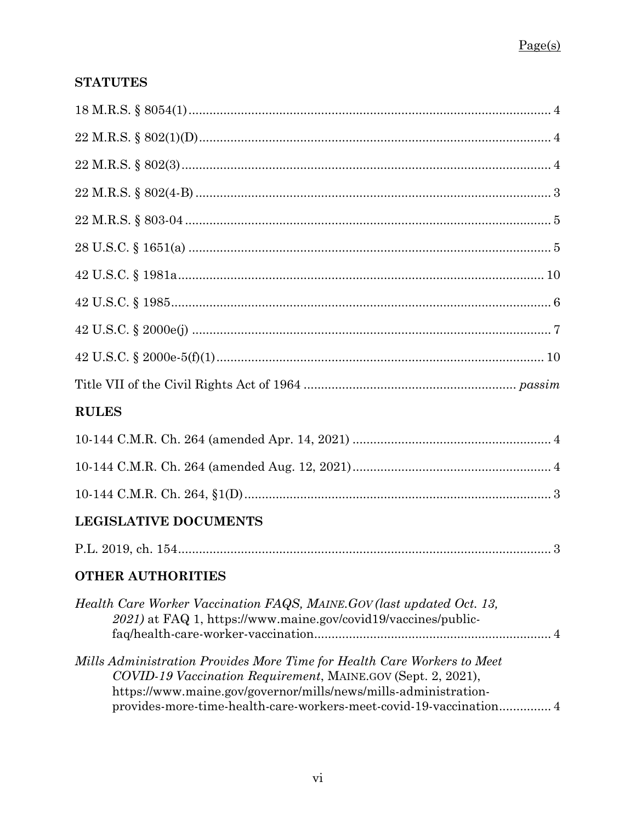# **STATUTES**

| <b>RULES</b>                                                                                                                                                                                                                                                                     |
|----------------------------------------------------------------------------------------------------------------------------------------------------------------------------------------------------------------------------------------------------------------------------------|
|                                                                                                                                                                                                                                                                                  |
|                                                                                                                                                                                                                                                                                  |
|                                                                                                                                                                                                                                                                                  |
| <b>LEGISLATIVE DOCUMENTS</b>                                                                                                                                                                                                                                                     |
|                                                                                                                                                                                                                                                                                  |
| <b>OTHER AUTHORITIES</b>                                                                                                                                                                                                                                                         |
| Health Care Worker Vaccination FAQS, MAINE.GOV (last updated Oct. 13,<br>2021) at FAQ 1, https://www.maine.gov/covid19/vaccines/public-                                                                                                                                          |
| Mills Administration Provides More Time for Health Care Workers to Meet<br>COVID-19 Vaccination Requirement, MAINE.GOV (Sept. 2, 2021),<br>https://www.maine.gov/governor/mills/news/mills-administration-<br>provides-more-time-health-care-workers-meet-covid-19-vaccination 4 |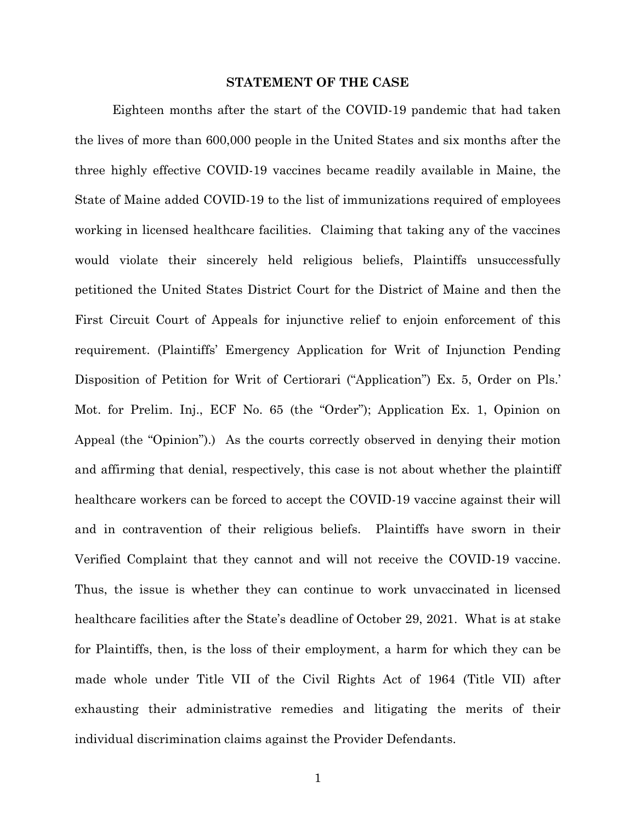### **STATEMENT OF THE CASE**

<span id="page-7-0"></span>Eighteen months after the start of the COVID-19 pandemic that had taken the lives of more than 600,000 people in the United States and six months after the three highly effective COVID-19 vaccines became readily available in Maine, the State of Maine added COVID-19 to the list of immunizations required of employees working in licensed healthcare facilities. Claiming that taking any of the vaccines would violate their sincerely held religious beliefs, Plaintiffs unsuccessfully petitioned the United States District Court for the District of Maine and then the First Circuit Court of Appeals for injunctive relief to enjoin enforcement of this requirement. (Plaintiffs' Emergency Application for Writ of Injunction Pending Disposition of Petition for Writ of Certiorari ("Application") Ex. 5, Order on Pls.' Mot. for Prelim. Inj., ECF No. 65 (the "Order"); Application Ex. 1, Opinion on Appeal (the "Opinion").) As the courts correctly observed in denying their motion and affirming that denial, respectively, this case is not about whether the plaintiff healthcare workers can be forced to accept the COVID-19 vaccine against their will and in contravention of their religious beliefs. Plaintiffs have sworn in their Verified Complaint that they cannot and will not receive the COVID-19 vaccine. Thus, the issue is whether they can continue to work unvaccinated in licensed healthcare facilities after the State's deadline of October 29, 2021. What is at stake for Plaintiffs, then, is the loss of their employment, a harm for which they can be made whole under Title VII of the Civil Rights Act of 1964 (Title VII) after exhausting their administrative remedies and litigating the merits of their individual discrimination claims against the Provider Defendants.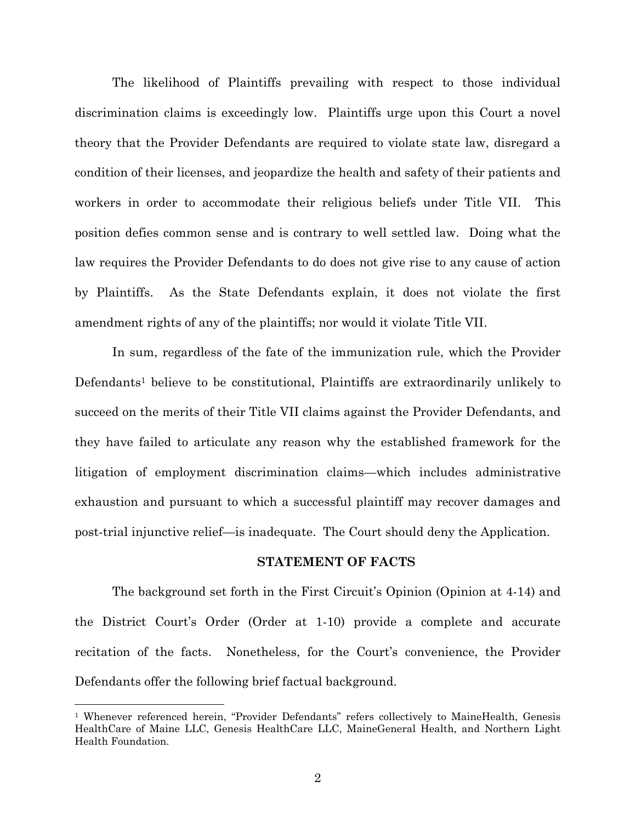The likelihood of Plaintiffs prevailing with respect to those individual discrimination claims is exceedingly low. Plaintiffs urge upon this Court a novel theory that the Provider Defendants are required to violate state law, disregard a condition of their licenses, and jeopardize the health and safety of their patients and workers in order to accommodate their religious beliefs under Title VII. This position defies common sense and is contrary to well settled law. Doing what the law requires the Provider Defendants to do does not give rise to any cause of action by Plaintiffs. As the State Defendants explain, it does not violate the first amendment rights of any of the plaintiffs; nor would it violate Title VII.

In sum, regardless of the fate of the immunization rule, which the Provider Defendants<sup>1</sup> believe to be constitutional, Plaintiffs are extraordinarily unlikely to succeed on the merits of their Title VII claims against the Provider Defendants, and they have failed to articulate any reason why the established framework for the litigation of employment discrimination claims—which includes administrative exhaustion and pursuant to which a successful plaintiff may recover damages and post-trial injunctive relief—is inadequate. The Court should deny the Application.

#### **STATEMENT OF FACTS**

<span id="page-8-0"></span>The background set forth in the First Circuit's Opinion (Opinion at 4-14) and the District Court's Order (Order at 1-10) provide a complete and accurate recitation of the facts. Nonetheless, for the Court's convenience, the Provider Defendants offer the following brief factual background.

<sup>&</sup>lt;sup>1</sup> Whenever referenced herein, "Provider Defendants" refers collectively to MaineHealth, Genesis HealthCare of Maine LLC, Genesis HealthCare LLC, MaineGeneral Health, and Northern Light Health Foundation.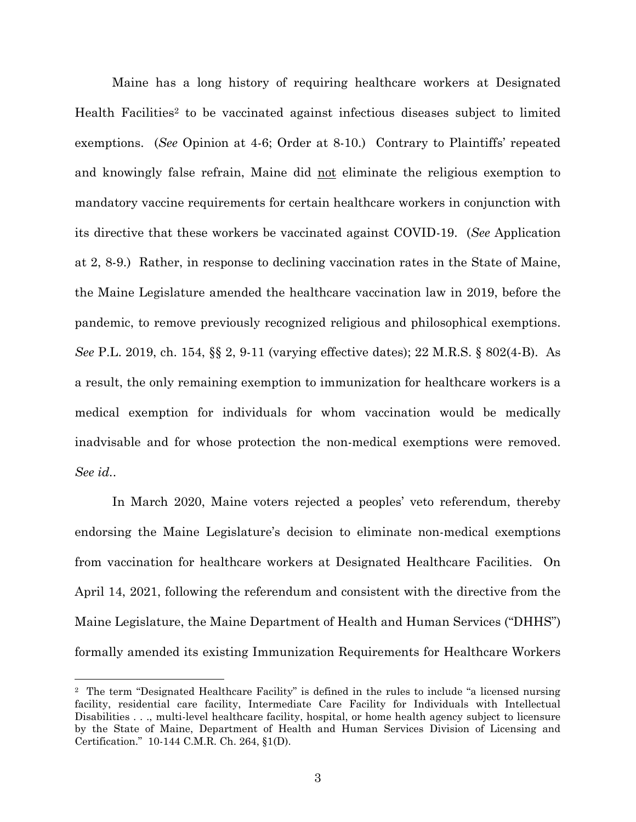Maine has a long history of requiring healthcare workers at Designated Health Facilities<sup>2</sup> to be vaccinated against infectious diseases subject to limited exemptions. (*See* Opinion at 4-6; Order at 8-10.) Contrary to Plaintiffs' repeated and knowingly false refrain, Maine did not eliminate the religious exemption to mandatory vaccine requirements for certain healthcare workers in conjunction with its directive that these workers be vaccinated against COVID-19. (*See* Application at 2, 8-9.) Rather, in response to declining vaccination rates in the State of Maine, the Maine Legislature amended the healthcare vaccination law in 2019, before the pandemic, to remove previously recognized religious and philosophical exemptions. *See* P.L. 2019, ch. 154, §§ 2, 9-11 (varying effective dates); 22 M.R.S. § 802(4-B). As a result, the only remaining exemption to immunization for healthcare workers is a medical exemption for individuals for whom vaccination would be medically inadvisable and for whose protection the non-medical exemptions were removed. *See id.*.

In March 2020, Maine voters rejected a peoples' veto referendum, thereby endorsing the Maine Legislature's decision to eliminate non-medical exemptions from vaccination for healthcare workers at Designated Healthcare Facilities. On April 14, 2021, following the referendum and consistent with the directive from the Maine Legislature, the Maine Department of Health and Human Services ("DHHS") formally amended its existing Immunization Requirements for Healthcare Workers

<sup>2</sup> The term "Designated Healthcare Facility" is defined in the rules to include "a licensed nursing facility, residential care facility, Intermediate Care Facility for Individuals with Intellectual Disabilities . . ., multi-level healthcare facility, hospital, or home health agency subject to licensure by the State of Maine, Department of Health and Human Services Division of Licensing and Certification." 10-144 C.M.R. Ch. 264, §1(D).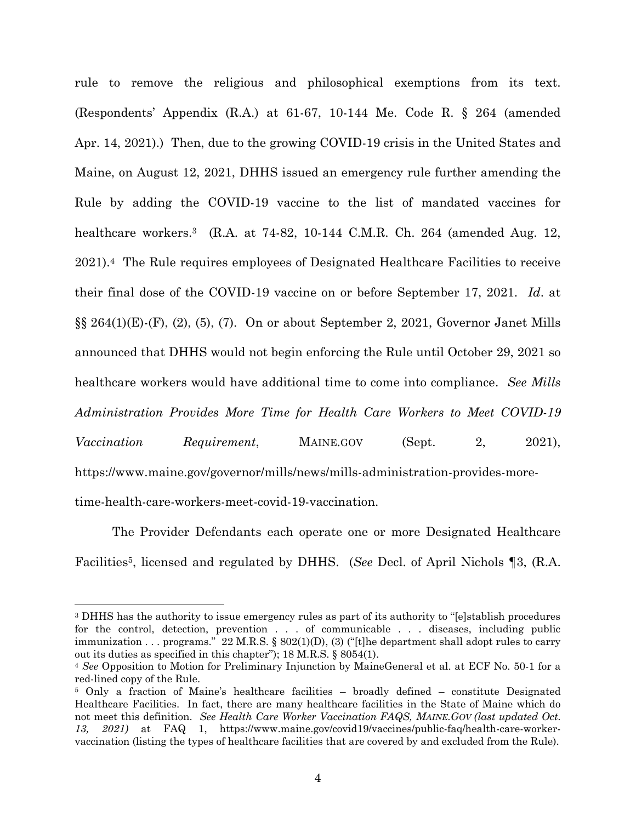rule to remove the religious and philosophical exemptions from its text. (Respondents' Appendix (R.A.) at 61-67, 10-144 Me. Code R. § 264 (amended Apr. 14, 2021).) Then, due to the growing COVID-19 crisis in the United States and Maine, on August 12, 2021, DHHS issued an emergency rule further amending the Rule by adding the COVID-19 vaccine to the list of mandated vaccines for healthcare workers. <sup>3</sup> (R.A. at 74-82, 10-144 C.M.R. Ch. 264 (amended Aug. 12, 2021). <sup>4</sup> The Rule requires employees of Designated Healthcare Facilities to receive their final dose of the COVID-19 vaccine on or before September 17, 2021. *Id*. at  $\S\S 264(1)(E)$ -(F), (2), (5), (7). On or about September 2, 2021, Governor Janet Mills announced that DHHS would not begin enforcing the Rule until October 29, 2021 so healthcare workers would have additional time to come into compliance. *See Mills Administration Provides More Time for Health Care Workers to Meet COVID-19 Vaccination Requirement*, MAINE.GOV (Sept. 2, 2021), https://www.maine.gov/governor/mills/news/mills-administration-provides-moretime-health-care-workers-meet-covid-19-vaccination.

The Provider Defendants each operate one or more Designated Healthcare Facilities5, licensed and regulated by DHHS. (*See* Decl. of April Nichols ¶3, (R.A.

l

<sup>3</sup> DHHS has the authority to issue emergency rules as part of its authority to "[e]stablish procedures for the control, detection, prevention . . . of communicable . . . diseases, including public immunization . . . programs."  $22$  M.R.S. §  $802(1)(D)$ , (3) ("[t]he department shall adopt rules to carry out its duties as specified in this chapter"); 18 M.R.S. § 8054(1).

<sup>4</sup> *See* Opposition to Motion for Preliminary Injunction by MaineGeneral et al. at ECF No. 50-1 for a red-lined copy of the Rule.

<sup>5</sup> Only a fraction of Maine's healthcare facilities – broadly defined – constitute Designated Healthcare Facilities. In fact, there are many healthcare facilities in the State of Maine which do not meet this definition. *See Health Care Worker Vaccination FAQS, MAINE.GOV (last updated Oct. 13, 2021)* at FAQ 1, https://www.maine.gov/covid19/vaccines/public-faq/health-care-workervaccination (listing the types of healthcare facilities that are covered by and excluded from the Rule).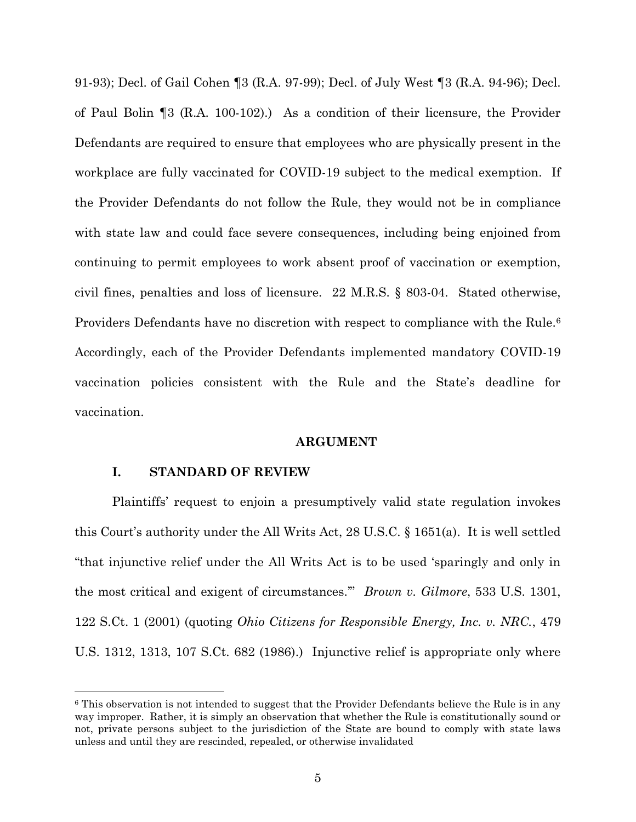91-93); Decl. of Gail Cohen ¶3 (R.A. 97-99); Decl. of July West ¶3 (R.A. 94-96); Decl. of Paul Bolin ¶3 (R.A. 100-102).) As a condition of their licensure, the Provider Defendants are required to ensure that employees who are physically present in the workplace are fully vaccinated for COVID-19 subject to the medical exemption. If the Provider Defendants do not follow the Rule, they would not be in compliance with state law and could face severe consequences, including being enjoined from continuing to permit employees to work absent proof of vaccination or exemption, civil fines, penalties and loss of licensure. 22 M.R.S. § 803-04. Stated otherwise, Providers Defendants have no discretion with respect to compliance with the Rule.<sup>6</sup> Accordingly, each of the Provider Defendants implemented mandatory COVID-19 vaccination policies consistent with the Rule and the State's deadline for vaccination.

#### **ARGUMENT**

#### <span id="page-11-0"></span>**I. STANDARD OF REVIEW**

 $\overline{a}$ 

<span id="page-11-1"></span>Plaintiffs' request to enjoin a presumptively valid state regulation invokes this Court's authority under the All Writs Act, 28 U.S.C. § 1651(a). It is well settled "that injunctive relief under the All Writs Act is to be used 'sparingly and only in the most critical and exigent of circumstances.'" *Brown v. Gilmore*, 533 U.S. 1301, 122 S.Ct. 1 (2001) (quoting *Ohio Citizens for Responsible Energy, Inc. v. NRC.*, 479 U.S. 1312, 1313, 107 S.Ct. 682 (1986).) Injunctive relief is appropriate only where

<sup>&</sup>lt;sup>6</sup> This observation is not intended to suggest that the Provider Defendants believe the Rule is in any way improper. Rather, it is simply an observation that whether the Rule is constitutionally sound or not, private persons subject to the jurisdiction of the State are bound to comply with state laws unless and until they are rescinded, repealed, or otherwise invalidated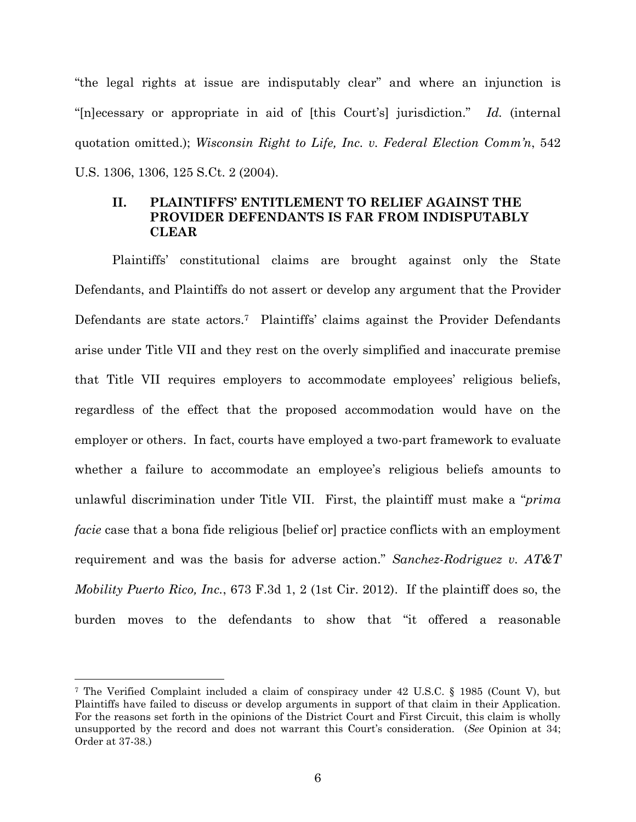"the legal rights at issue are indisputably clear" and where an injunction is "[n]ecessary or appropriate in aid of [this Court's] jurisdiction." *Id.* (internal quotation omitted.); *Wisconsin Right to Life, Inc. v. Federal Election Comm'n*, 542 U.S. 1306, 1306, 125 S.Ct. 2 (2004).

# <span id="page-12-0"></span>**II. PLAINTIFFS' ENTITLEMENT TO RELIEF AGAINST THE PROVIDER DEFENDANTS IS FAR FROM INDISPUTABLY CLEAR**

Plaintiffs' constitutional claims are brought against only the State Defendants, and Plaintiffs do not assert or develop any argument that the Provider Defendants are state actors.<sup>7</sup> Plaintiffs' claims against the Provider Defendants arise under Title VII and they rest on the overly simplified and inaccurate premise that Title VII requires employers to accommodate employees' religious beliefs, regardless of the effect that the proposed accommodation would have on the employer or others. In fact, courts have employed a two-part framework to evaluate whether a failure to accommodate an employee's religious beliefs amounts to unlawful discrimination under Title VII. First, the plaintiff must make a "*prima facie* case that a bona fide religious [belief or] practice conflicts with an employment requirement and was the basis for adverse action." *Sanchez-Rodriguez v. AT&T Mobility Puerto Rico, Inc.*, 673 F.3d 1, 2 (1st Cir. 2012). If the plaintiff does so, the burden moves to the defendants to show that "it offered a reasonable

<sup>7</sup> The Verified Complaint included a claim of conspiracy under 42 U.S.C. § 1985 (Count V), but Plaintiffs have failed to discuss or develop arguments in support of that claim in their Application. For the reasons set forth in the opinions of the District Court and First Circuit, this claim is wholly unsupported by the record and does not warrant this Court's consideration. (*See* Opinion at 34; Order at 37-38.)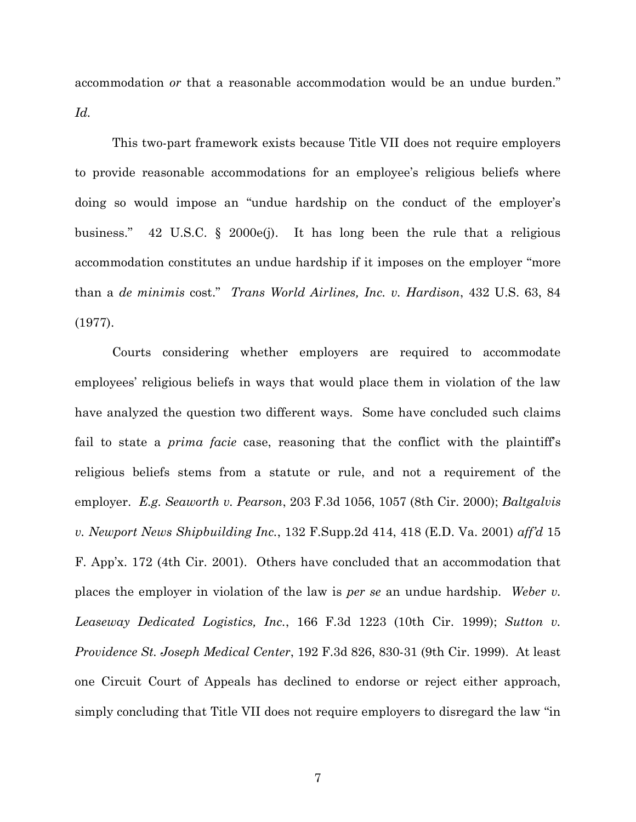accommodation *or* that a reasonable accommodation would be an undue burden." *Id.*

This two-part framework exists because Title VII does not require employers to provide reasonable accommodations for an employee's religious beliefs where doing so would impose an "undue hardship on the conduct of the employer's business." 42 U.S.C. § 2000e(j). It has long been the rule that a religious accommodation constitutes an undue hardship if it imposes on the employer "more than a *de minimis* cost." *Trans World Airlines, Inc. v. Hardison*, 432 U.S. 63, 84 (1977).

Courts considering whether employers are required to accommodate employees' religious beliefs in ways that would place them in violation of the law have analyzed the question two different ways. Some have concluded such claims fail to state a *prima facie* case, reasoning that the conflict with the plaintiff's religious beliefs stems from a statute or rule, and not a requirement of the employer. *E.g. Seaworth v. Pearson*, 203 F.3d 1056, 1057 (8th Cir. 2000); *Baltgalvis v. Newport News Shipbuilding Inc.*, 132 F.Supp.2d 414, 418 (E.D. Va. 2001) *aff'd* 15 F. App'x. 172 (4th Cir. 2001). Others have concluded that an accommodation that places the employer in violation of the law is *per se* an undue hardship. *Weber v. Leaseway Dedicated Logistics, Inc.*, 166 F.3d 1223 (10th Cir. 1999); *Sutton v. Providence St. Joseph Medical Center*, 192 F.3d 826, 830-31 (9th Cir. 1999). At least one Circuit Court of Appeals has declined to endorse or reject either approach, simply concluding that Title VII does not require employers to disregard the law "in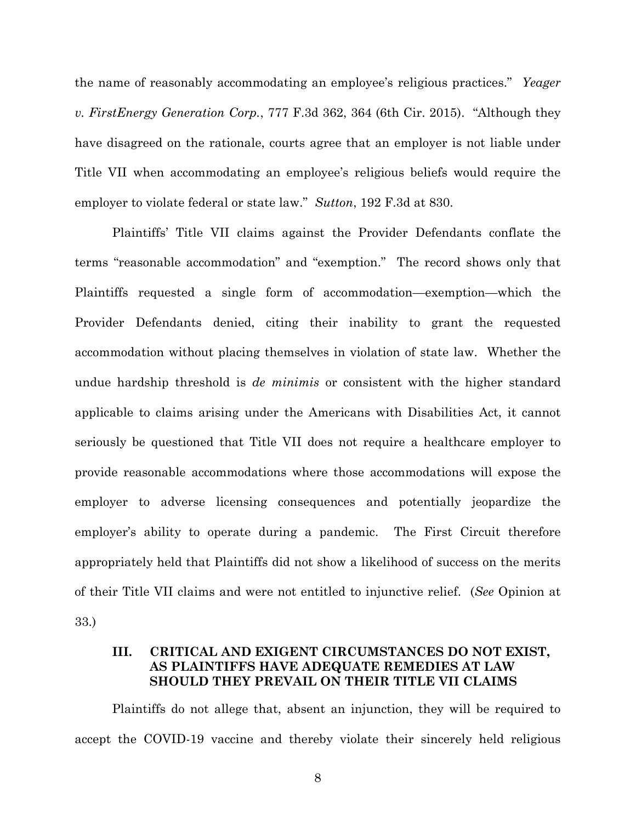the name of reasonably accommodating an employee's religious practices." *Yeager v. FirstEnergy Generation Corp.*, 777 F.3d 362, 364 (6th Cir. 2015). "Although they have disagreed on the rationale, courts agree that an employer is not liable under Title VII when accommodating an employee's religious beliefs would require the employer to violate federal or state law." *Sutton*, 192 F.3d at 830.

Plaintiffs' Title VII claims against the Provider Defendants conflate the terms "reasonable accommodation" and "exemption." The record shows only that Plaintiffs requested a single form of accommodation—exemption—which the Provider Defendants denied, citing their inability to grant the requested accommodation without placing themselves in violation of state law. Whether the undue hardship threshold is *de minimis* or consistent with the higher standard applicable to claims arising under the Americans with Disabilities Act, it cannot seriously be questioned that Title VII does not require a healthcare employer to provide reasonable accommodations where those accommodations will expose the employer to adverse licensing consequences and potentially jeopardize the employer's ability to operate during a pandemic. The First Circuit therefore appropriately held that Plaintiffs did not show a likelihood of success on the merits of their Title VII claims and were not entitled to injunctive relief. (*See* Opinion at 33.)

# <span id="page-14-0"></span>**III. CRITICAL AND EXIGENT CIRCUMSTANCES DO NOT EXIST, AS PLAINTIFFS HAVE ADEQUATE REMEDIES AT LAW SHOULD THEY PREVAIL ON THEIR TITLE VII CLAIMS**

Plaintiffs do not allege that, absent an injunction, they will be required to accept the COVID-19 vaccine and thereby violate their sincerely held religious

8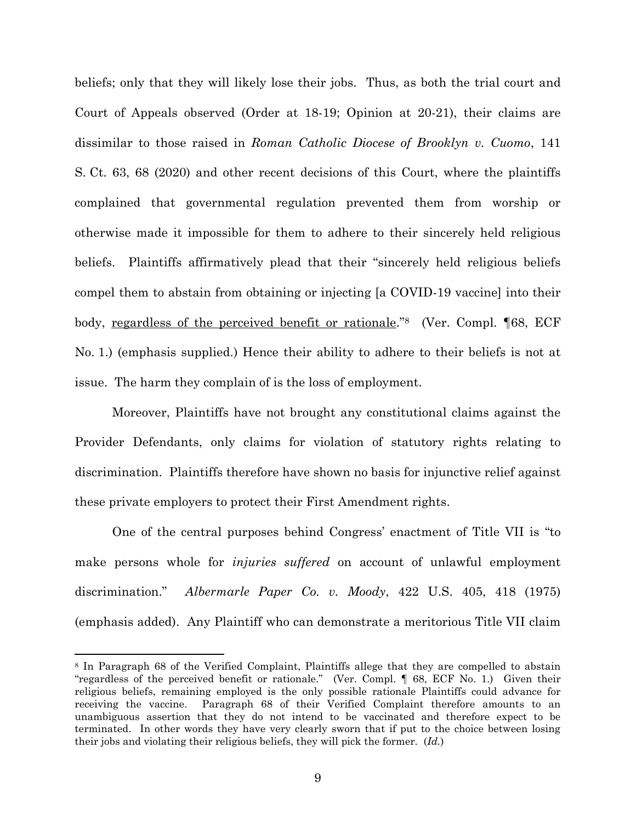beliefs; only that they will likely lose their jobs. Thus, as both the trial court and Court of Appeals observed (Order at 18-19; Opinion at 20-21), their claims are dissimilar to those raised in *Roman Catholic Diocese of Brooklyn v. Cuomo*, 141 S. Ct. 63, 68 (2020) and other recent decisions of this Court, where the plaintiffs complained that governmental regulation prevented them from worship or otherwise made it impossible for them to adhere to their sincerely held religious beliefs. Plaintiffs affirmatively plead that their "sincerely held religious beliefs compel them to abstain from obtaining or injecting [a COVID-19 vaccine] into their body, <u>regardless of the perceived benefit or rationale</u>."<sup>8</sup> (Ver. Compl. [68, ECF No. 1.) (emphasis supplied.) Hence their ability to adhere to their beliefs is not at issue. The harm they complain of is the loss of employment.

Moreover, Plaintiffs have not brought any constitutional claims against the Provider Defendants, only claims for violation of statutory rights relating to discrimination. Plaintiffs therefore have shown no basis for injunctive relief against these private employers to protect their First Amendment rights.

One of the central purposes behind Congress' enactment of Title VII is "to make persons whole for *injuries suffered* on account of unlawful employment discrimination." *Albermarle Paper Co. v. Moody*, 422 U.S. 405, 418 (1975) (emphasis added). Any Plaintiff who can demonstrate a meritorious Title VII claim

<sup>8</sup> In Paragraph 68 of the Verified Complaint, Plaintiffs allege that they are compelled to abstain "regardless of the perceived benefit or rationale." (Ver. Compl. ¶ 68, ECF No. 1.) Given their religious beliefs, remaining employed is the only possible rationale Plaintiffs could advance for receiving the vaccine. Paragraph 68 of their Verified Complaint therefore amounts to an unambiguous assertion that they do not intend to be vaccinated and therefore expect to be terminated. In other words they have very clearly sworn that if put to the choice between losing their jobs and violating their religious beliefs, they will pick the former. (*Id.*)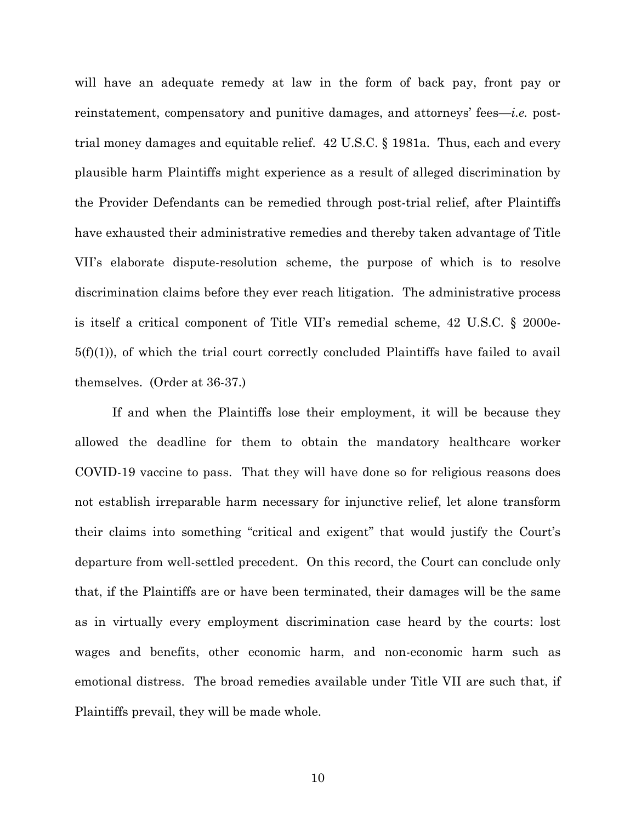will have an adequate remedy at law in the form of back pay, front pay or reinstatement, compensatory and punitive damages, and attorneys' fees—*i.e.* posttrial money damages and equitable relief. 42 U.S.C. § 1981a. Thus, each and every plausible harm Plaintiffs might experience as a result of alleged discrimination by the Provider Defendants can be remedied through post-trial relief, after Plaintiffs have exhausted their administrative remedies and thereby taken advantage of Title VII's elaborate dispute-resolution scheme, the purpose of which is to resolve discrimination claims before they ever reach litigation. The administrative process is itself a critical component of Title VII's remedial scheme, 42 U.S.C. § 2000e- $5(f)(1)$ , of which the trial court correctly concluded Plaintiffs have failed to avail themselves. (Order at 36-37.)

If and when the Plaintiffs lose their employment, it will be because they allowed the deadline for them to obtain the mandatory healthcare worker COVID-19 vaccine to pass. That they will have done so for religious reasons does not establish irreparable harm necessary for injunctive relief, let alone transform their claims into something "critical and exigent" that would justify the Court's departure from well-settled precedent. On this record, the Court can conclude only that, if the Plaintiffs are or have been terminated, their damages will be the same as in virtually every employment discrimination case heard by the courts: lost wages and benefits, other economic harm, and non-economic harm such as emotional distress. The broad remedies available under Title VII are such that, if Plaintiffs prevail, they will be made whole.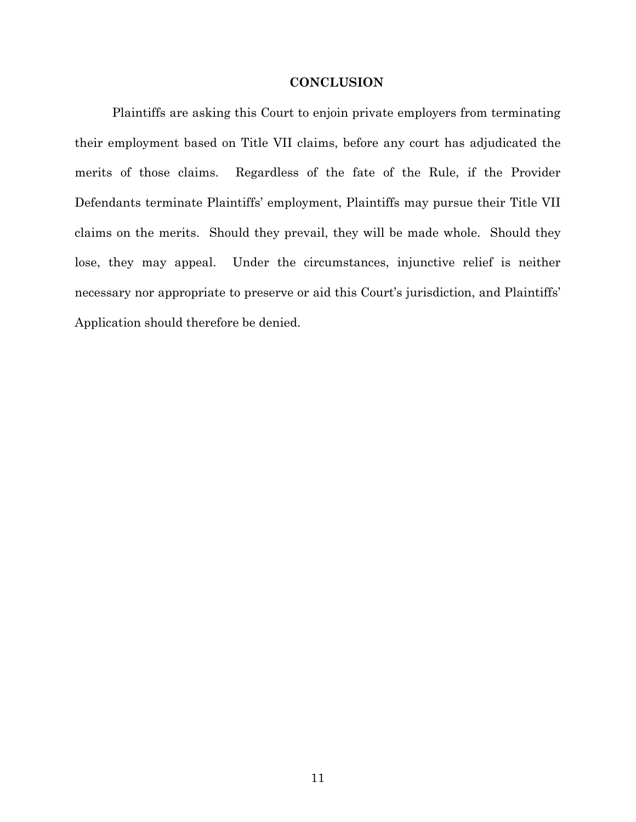### **CONCLUSION**

<span id="page-17-0"></span>Plaintiffs are asking this Court to enjoin private employers from terminating their employment based on Title VII claims, before any court has adjudicated the merits of those claims. Regardless of the fate of the Rule, if the Provider Defendants terminate Plaintiffs' employment, Plaintiffs may pursue their Title VII claims on the merits. Should they prevail, they will be made whole. Should they lose, they may appeal. Under the circumstances, injunctive relief is neither necessary nor appropriate to preserve or aid this Court's jurisdiction, and Plaintiffs' Application should therefore be denied.